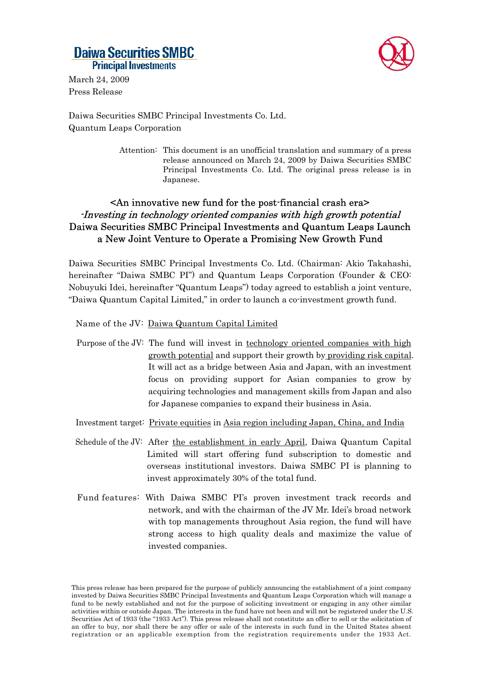# **Daiwa Securities SMBC Principal Investments**



March 24, 2009 Press Release

Daiwa Securities SMBC Principal Investments Co. Ltd. Quantum Leaps Corporation

> Attention: This document is an unofficial translation and summary of a press release announced on March 24, 2009 by Daiwa Securities SMBC Principal Investments Co. Ltd. The original press release is in Japanese.

### <An innovative new fund for the post-financial crash era> -Investing in technology oriented companies with high growth potential Daiwa Securities SMBC Principal Investments and Quantum Leaps Launch a New Joint Venture to Operate a Promising New Growth Fund

Daiwa Securities SMBC Principal Investments Co. Ltd. (Chairman: Akio Takahashi, hereinafter "Daiwa SMBC PI") and Quantum Leaps Corporation (Founder & CEO: Nobuyuki Idei, hereinafter "Quantum Leaps") today agreed to establish a joint venture, "Daiwa Quantum Capital Limited," in order to launch a co-investment growth fund.

Name of the JV: Daiwa Quantum Capital Limited

- Purpose of the JV: The fund will invest in technology oriented companies with high growth potential and support their growth by providing risk capital. It will act as a bridge between Asia and Japan, with an investment focus on providing support for Asian companies to grow by acquiring technologies and management skills from Japan and also for Japanese companies to expand their business in Asia.
- Investment target: Private equities in Asia region including Japan, China, and India
- Schedule of the JV: After the establishment in early April, Daiwa Quantum Capital Limited will start offering fund subscription to domestic and overseas institutional investors. Daiwa SMBC PI is planning to invest approximately 30% of the total fund.
- Fund features: With Daiwa SMBC PI's proven investment track records and network, and with the chairman of the JV Mr. Idei's broad network with top managements throughout Asia region, the fund will have strong access to high quality deals and maximize the value of invested companies.

This press release has been prepared for the purpose of publicly announcing the establishment of a joint company invested by Daiwa Securities SMBC Principal Investments and Quantum Leaps Corporation which will manage a fund to be newly established and not for the purpose of soliciting investment or engaging in any other similar activities within or outside Japan. The interests in the fund have not been and will not be registered under the U.S. Securities Act of 1933 (the "1933 Act"). This press release shall not constitute an offer to sell or the solicitation of an offer to buy, nor shall there be any offer or sale of the interests in such fund in the United States absent registration or an applicable exemption from the registration requirements under the 1933 Act.